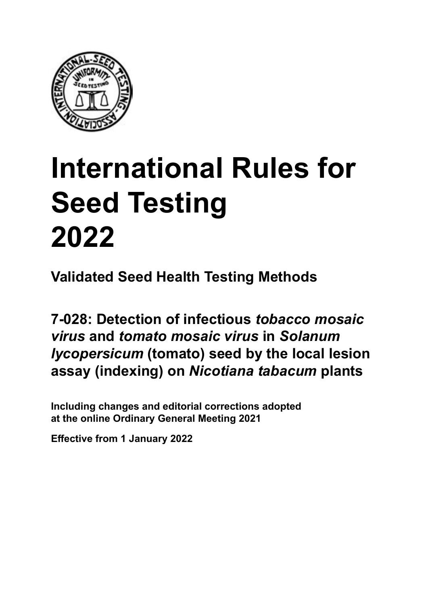

## **International Rules for Seed Testing von Saatgut 2022 2022 Semences 2022 International Rules for Seed Testing 2022**

**Métodos Validados para Análisis de Sanidad de Semillas Validate Méthodes Validées pour Analyse Sanitaire des Semences Validated Seed Health Testing Methods**

**7‑028: Detección del** *virus del mosaico del tabaco*  **Nachweis von infektiöser** *tobacco mosaic*  **infeccioso y del** *virus del mosaico del tomate* **en**  *virus* **und** *tomato mosaic virus* **an Samen von**  *shao* and *tomato moodro virgo in oordnum* **ensayo de lesiones locales (indexaje) en plantas de** *Nicotiana tabacum* **Lokalläsionentest (Indexierung) an Pflanzen von**  *Nicotiana tabacum* **7‑028 : Détection de «** *tobacco mosaic virus* **» et 7‑028: Detection of infectious** *tobacco mosaic*  **«** *tomato mosaic virus* **» infectieux sur semences de**  *virus* **and** *tomato mosaic virus* **in** *Solanum lycopersicum* (tomato) seed by the local lesion **(indexage) sur plantes de** *Nicotiana tabacum* **assay (indexing) on** *Nicotiana tabacum* **plants**

Including changes and editorial corrections adopted at the online Ordinary General Meeting 2021

**Effective from 1 January 2022**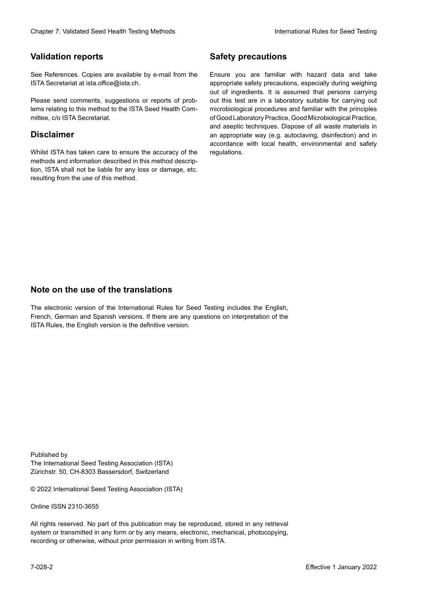## **Validation reports**

See References. Copies are available by e-mail from the<br>ISTA Secretariat at ista.office@ista.ch. ISTA Secretariat at ista.office@ista.ch.

lems relating to this method to the ISTA Seed Health Com-<br>mittee, c/o ISTA Secretariat. mittee, c/o ISTA Secretariat.<br>i Please send comments, suggestions or reports of prob-

## **Limitation de responsabilité Disclaimer**

Whilst ISTA has taken care to ensure the accuracy of the<br>methods and information described in this method description, ISTA shall not be liable for any loss or damage, etc.<br>resulting from the use of this method.<br>. resulting from the use of this method. Whilst ISTA has taken care to ensure the accuracy of the methods and information described in this method descrip-<br>tion, ISTA shall not be liable for any loss or damage, etc. tion, ISTA shall not be liable for any loss or damage, etc.<br>resulting from the use of this method.

## **Medidas de seguridad Sicherheitsmaßnahmen Sécurité Safety precautions**

Ensure you are familiar with hazard data and take Ensure you are familiar with hazard data and take<br>appropriate safety precautions, especially during weighing out of ingredients. It is assumed that persons carrying out this test are in a laboratory suitable for carrying out microbiological procedures and familiar with the principles of Good Laboratory Practice, Good Microbiological Practice, and aseptic techniques. Dispose of all waste materials in an appropriate way (e.g. autoclaving, disinfection) and in accordance with local health, environmental and safety regulations. Glade 7: Validated Deed Health Testing holesdos<br>
Gallet Corresponds<br>
Validation responds with a statistic by e-mail four ole Simuar you are Smiths related blue and distinguished<br>
Simual Person at the consistent of the Corr microbiological procedures and familiar with the principles<br>of Good Laboratory Practice, Good Microbiological Practice,<br>and aseptic techniques. Dispose of all waste materials in<br>an appropriate way (e.g. autoclaving, disinf fallstoffe sind auf geeignete Weise und entsprechend der vor Ort über der vor Ort über und Umwelt- und Umwelt-<br>Eine und Umwelt-Effective Counter of Nicholas Devel Teach Teach Teach Devel<br>
Yaristandino reports<br>
Yaristandino reports<br>
Semente Revise sanitale by e-real form one Some year and carb case of the based delayed by<br>
Since Reventees at also d of Good Laboratory Practice, Good Microbiological Practice,<br>and aseptic techniques. Dispose of all waste materials in<br>an appropriate way (e.g. autoclaving, disinfection) and in Validation reports<br>
Since The Texture 1988 and the system of the Since Theorem and the Since Theorem and the system of the Since The Since The Since The Since The Since The Since The Since The Since The Since The Since The Ensure you are familiar with hazard data and take<br>appropriate safety precautions, especially during weighing<br>out of ingredients. It is assumed that persons carrying<br>out this test are in a laboratory suitable for carrying o

## **Nota sobre el uso de traducciones Anmerkung zur Benutzung der Übersetzungen Note on the use of the translations**

The electronic version of the International Rules for Seed Testing includes the English, French, German and Spanish versions. If there are any questions on interpretation of the ISTA Rules, the English version is the definitive version. The electronic version of the International Rules for Seed Testing includes the English,<br>French, German and Spanish versions. If there are any questions on interpretation of the<br>ISTA Rules, the English version is the defin The electronic version of the International Rules for Seed Testing includes the English,<br>French, German and Spanish versions. If there are any questions on interpretation of the

Published by **Extending Association (ISTA)** The International Seed Testing Association (ISTA) Zürichstr. 50, CH-8303 Bassersdorf, Switzerland

© 2022 International Seed Testing Association (ISTA)

Alle Rechte vorbehalten. Kein Teil dieses Werkes darf in irgendwelcher Form oder durch Online ISSN 2310-3655

All rights reserved. No part of this publication may be reproduced, stored in any retrieval All rights reserved. No part of this publication may be reproduced, stored in any retrieval<br>system or transmitted in any form or by any means, electronic, mechanical, photocopying,<br>recording or otherwise, without prior per recording or otherwise, without prior permis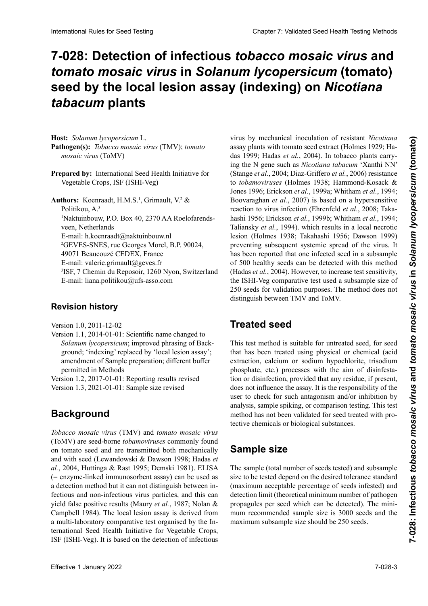## 7-028: Detection of infectious *tobacco mosaic virus* and tomato mosaic virus in Solanum lycopersicum (tomato) seed by the local lesion assay (indexing) on *Nicotiana* **de lesiones locales (indexaje) en plantas de** *Nicotiana*  **(Indexierung) an Pflanzen von** *Nicotiana tabacum* **(indexage) sur plantes de** *Nicotiana tabacum tabacum* **plants**

**Hospedante:** *Solanum lycopersicum* L. *tomato mosaic virus* (ToMV) *mosaic virus* (ToMV) *mosaic virus* (ToMV)  $\frac{p}{p}$ **Wirtspflanze:** *Solanum lycopersicum* L. **Hôte :** *Solanum lycopersicum* L. **Host:** *Solanum lycopersicum* L. **Krankheitserreger:** *Tobacco mosaic virus* (TMV); **Pathogène(s) :** *Tobacco mosaic virus* (TMV) ; *tomato* **Pathogen(s):** *Tobacco mosaic virus* (TMV); *tomato* 

Prepared by: International Seed Health Initiative for (ToMV = *tomato mosaic virus*) Vegetable Crops, ISF (ISHI-Veg) Vegetable Crops, ISF (ISHI-Veg)

 $\rho$  **Preparado portional Section**  $V_1$  is a set of  $\mathbf{H} \mathbf{M} \mathbf{C}$  of  $\mathbf{C}$  in a set of  $\mathbf{M} \mathbf{C}$ **THE CROPS**, **EXPLANATION**, **ITABLE CROPS**, **CITE**  $\frac{1}{2}$  Nakulinoouw, P.O. **D**OX 40, 23 /0 AA Koe veen, Netherlands E-mail: n. Koenraadt (a) naktuinbouw. ni <sup>2</sup>GEVES-SNES, rue Georges Morel, B.P. 90024, 49071 Beaucouzé CEDEX, France E-mail: valerie.grimault@geves.fr <sup>3</sup>ISF, 7 Chemin du Reposoir, 1260 Nyon, Switzerland E-mail: liana.politikou@ufs-asso.com **Authoren:** *K* cause 4t HMCl Grimaalt, V.2.6  $\frac{1}{2}$ Politikou, A.<sup>3</sup>  $\frac{1}{2}$ . Box  $\frac{1}{2}$  and  $\frac{1}{2}$  and  $\frac{1}{2}$  and  $\frac{1}{2}$  and  $\frac{1}{2}$  and  $\frac{1}{2}$ <sup>1</sup>Naktuinbouw, P.O. Box 40, 2370 AA Roelofarendsveen, Netherlands<br>-E-mail: n. koenraadt@naktuinbouw.ni Authors: Koenraadt, H.M.S.<sup>1</sup>, Grimault, V.<sup>2</sup> & veen, industriands<br>h.com/ E-mail: h.koenraadt@naktuinbouw.nl

#### **Revisionsstand Historique de la révision Revision history**

Version 1.0, 2011-12-02

Solanum lycopersicum; improved phrasing of Background; 'indexing' replaced by 'local lesion assay'; amendment of Sample preparation; different buffer permitted in Methods Version 1.1, 2014-01-01: Scientific name changed to

Versión 1.2, 2017-01-01: Informe de resultados, revisado

Version 1.2, 2017-01-01: Reporting results revised Version 1.3, 2021-01-01: Sample size revised

## **Background Historique Background**

**Antecedentes** *Tabakmosaikvirus* (TMV) und *Tomatenmosaikvirus Tobacco mosaic virus* (TMV) and *tomato mosaic virus* El *virus del mosaico del tabaco* (TMV) y el *virus del la mosaïque de la tomate* (ToMV) sont des *tobamovi-*on tomato seed and are transmitted both mechanically *m* tomato seed and are transmitted both inconditionly and with seed (Eewandowski & Dawson 1770, Hadas et  $\mu$ at, 2004, Huulinga oc Kast 1999, Deniski 1901). ELISA et enzyme-miked immunosorioent assay) can be used as a detection method but it can not distinguish between intécniques and non-intécniques virus particles, and this can yield laise positive results (Maury *et al.*, 1987; Notan  $\alpha$ (ToMV) sind samenbürtige *Tobamoviren*, die an Tomaten-Le v*irus de la mosaïque du tabac* (TMV) et le *virus de*  (ToMV) are seed-borne *tobamoviruses* commonly found on tomato seed and are transmitted both mechanically<br>and with seed (Lewandowski & Dawson 1998; Hadas *et*<br> $\frac{1}{2}$ , 2004, Huttinga & Rast 1995; Demokratic 1981). Et Rast ( $-$  enzyme-inheted infinite solution assay) can be used as<br>a detection method but it can not distinguish between in-<br>fectious and non-infectious virus particles, and this can<br>yield false positive results (Maury *et al.*, a multi-laboratory comparative test organised by the Ina multi-laboratory comparative test organised by the In-<br>ternational Seed Health Initiative for Vegetable Crops, ISF (ISHI-Veg). It is based on the detection of infectious and with seed that are transmitted both incentificantly and with seed (Lewandowski & Dawson 1998; Hadas *et* ment sur les semences de tomate et qui sont transmis à la *al.*, 2004, Huttinga & Rast 1995; Demski 1981). ELISA formétical method immunosorbent assay) can be used as a detection method but it can not distinguish between inpectious and non-infectious virus particles, and this can<br>yield false positive results (Maury *et al.*, 1987; Nolan &<br>Campbell 1984). The local lesion assay is derived from fectious and non-infectious virus particles, and this can yield false positive results (Maury *et al.*, 1987; Nolan & Campbell 1984). The local lesion assay is derived from

entre partículas de virus infecciosas y no infecciosas, lo ten (Holmes 1929; Hadas 1999; Hadas *et al.*, 2004). ). In das 1999; Hadas *et al.*, 2004). In tobacco plants carrydas 1999; Hadas *et al.*, 2004). In tobacco plants carry-<br>ing the N gene such as *Nicotiana tabacum* 'Xanthi NN'<br>(Stance et al. 2004: Diaz Griffere et al. 2006) resistance *al*., 1987; No. 2004; Diaz-Griffero *et al.*, 2006) resistance to *tobamoviruses* (Holmes 1938; Hammond-Kosack & organizative formation is 1996; Hammond Rosack & Jones 1996; Erickson *et al.*, 1999a; Whitham *et al.*, 1994; vences 1990, Errekson et al., 1999a, wintuam et al., 1994, de virus infeccioso mediante inoculación mecánica de las plantas de l'infection (Ehrenfeld *et al.*, 2008; Taka-<br>est basée sur un reaction d'hypersensibilité à l'infection reaction to virus infection de l'infection de l'infection de l' hashi 1956; Erickson *et al.*, 1999b; Whitham *et al.*, 1994; Erickson *et al.*, 1994; *al.* Taliansky *et al.*, 1994). which results in a local necrotic *al.*, 1994). which results in a local necrotic lesion (Holmes 1938; Takahashi 1956; Dawson 1999) Tanansky *et at.*, 1994). which results in a local necrotic<br>lesion (Holmes 1938; Takahashi 1956; Dawson 1999)<br>preventing subsequent systemic spread of the virus. It has been reported that one infected seed in a subsample of 500 healthy seeds can be detected with this method (Hadas *et al.*, 2004). However, to increase test sensitivity, the ISHI-Veg comparative test used a subsample size of 250 seeds for validation purposes. The method does not distinguish between TMV and ToMV. virus by mechanical inoculation of resistant *Nicotiana* assay plants with tomato seed extract (Holmes 1929; Ha-Boovaraghan *et al.*, 2007) is based on a hypersensitive reaction to virus infection (Ehrenfeld *et al.*, 2008; Taka-<br>hashi 1956; Erickson *et al.*, 1999b; Whitham *et al.*, 1994; the ISHI-Veg comparative test used a subsample size of 250 seeds for validation purposes. The method does not distinguish between TMV and ToMV. *movierus Holmes, 1938 is based on a hypersensitive et al.*, 2007) is based on a hypersensitive has been reported that one intected seed in a subsample<br>of 500 healthy seeds can be detected with this method<br>(Hadas *et al.*, 2004). However, to increase test sensitivity,<br>the ISHI-Veg comparative test used a subsample si blanchion Relief Essel Temperature and **Consumer Consumer Consumer Consumer Consumer Consumer Consumer Consumer Consumer Consumer Consumer Consumer Consumer Consumer Consumer Consumer Consumer Consumer Consumer Consumer C** (Hadas *et al.*, 2004). However, to increase test sensitivity, 250 seeds for validation purposes. The method does not

### una propagación sistemática subsecuente del virus. Se ha informado que con este método se puede detectar una se-**Treated seed**

This test method is suitable for untreated seed, for seed that has been treated using physical or chemical (acid extraction, calcium or sodium hypochlorite, trisodium<br>phosphate, etc.) processes with the aim of disinfestaphosphate, etc.) processes with the aim of disinfesta-<br>tion or disinfection, provided that any residue, if present. tion or disinfection, provided that any residue, if present, analysis, sample spiking, or comparison testing. This test  $\frac{1}{1}$  $\mathcal{L}_{\text{max}}$  semiliarita que ha sido tratada con el objetivo de dese $\mathcal{L}_{\text{max}}$ does not influence the assay. It is the responsibility of the user to check for such antagonism and/or inhibition by<br>analysis, sample spiking, or comparison testing. This test<br>method has not been validated for seed treated with pro-<br>tective chamicals or biological substances method has not been validated for seed treated with produrch Analyse, probenser verschiedenist zu protestanten verschieden auch zu protestanten zu prüfte zu prüfte z<br>Zur prüfte zu prüfte zu prüfte zu prüfte zu prüfte zu prüfte zu protestanten zu protestanten zu protestanten z tective chemicals or biological substances.

### (extracción ácida, hipoclorito de calcio o sodio, fosfato Sample size  $$

 $\overline{r}$  como remanente, no afecte el ensayo. Es responsa-The sample (total number of seeds tested) and subsample<br>circ to be tested depend on the decimed telegrone step dead size to be tested depend on the desired tolerance standard<br>Compiumum assembly assembly a contained infected and (maximum acceptable percentage of seeds infested) and detection limit (theoretical minimum number of pathogen propagules per seed which can be detected). The minipropaguies per seed which can be detected). The min-<br>mum recommended sample size is 3000 seeds and the maximum subsample size should be 250 seeds.<br>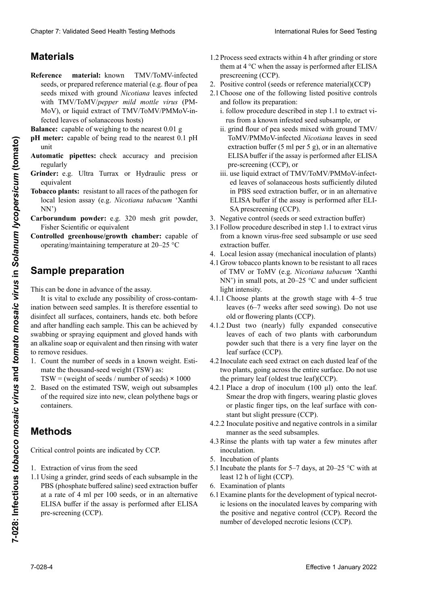## **Materials** materials maximum des sous-échantillons de 250 semences.<br>La taille maximum de 250 semences.

- Reference material: known TMV/ToMV-infected seeds, or prepared reference material (e.g. flour of pea seeds mixed with ground *Nicotiana* leaves infected with TMV/ToMV/pepper mild mottle virus (PM-MoV), or liquid extract of TMV/ToMV/PMMoV-infected leaves of solanaceous hosts)
- Balance: capable of weighing to the nearest 0.01 g
- n**H** meter: canable of being read to the nearest 0.1 nH ten *n* contraction of the extra ten *n* contraction of the extra ten *n* contract of the extra ten *n* contract of the extra ten *n* contract of the extra ten *n* contract of the extra ten *n* contract of the extra ten *n* meter: capable of being read to the nearest 0.1 pH *pH* meter: capable of being read to the nearest 0.1 pH unit unit
- **Automatic pip**<br>reoularly Automatic pipettes: check accuracy and precision romane piperes<br>regularly
- Material de referencia: se semina de referencia: se semiregaran*y*<br>Cuindou: 0.0 Ultre Tr **pHater:** e.g. only runda or hys regulari<sub>s</sub><br>Cuindou: 0,0, Ultro Turroy or Hyd **Grinder:** e.g. Ultra Turrax or Hydraulic press or equivalent equivalent
- **Tobacco plants:** resistant to all races of the pathogen for presente de la haria de semilla de semillas de la harina de la mezclada de arregea de la mezzlada de arregea de la mezzlada de la mezzlada de la mezzlada de la mezzlada de la mezzlada de la mezzlada de la mezzlada de la me rocal icsion assay (c.g. *Nicotiana tabacum T*rantin ToMV/*virus del moteado suave del pimiento* (PMMoV lini<br>Islam *titude et de la précisionne* local lesion assay (e.g. *Nicotiana tabacum* 'Xanthi NN')
- rborunuum powuer: e.g. 520 mesn gru powuer, **Carborundum powder:** e.g. 520 mesn grit powder,<br>Fisher Scientific or equivalent **Les plants de tabaca powder:** e.g. 320 mesh grit powder,
- **FISHET SCIENTIFE OF EQUIVALENT**<br>**Controlled greenhouse/growth chamber:** capable of operating/maintaining temperature at 20–25 °C

#### **Medidor de pH:** adecuado para leer con aproximación de unpie prep **Gesteuertes Gewächshaus/Pflanzeninkubationskamimpie preparatio**i **Serre/contrôlée/module climatique :** capable de fonc-**Sample preparation**

This can be done in advance of the assay.

It is vital to exclude any possibility of cross-contamination between seed samples. It is therefore essential to disinfect all surfaces, containers, hands etc. both before after handling each sample. This can be achieved by swabbing or spraying equipment and gloved hands with<br>an alkaline soap or equivalent and then rinsing with water<br>to remove residues. an alkaline soap or equivalent and then rinsing with water to remove residues. Clearly 2. Validierte Soustierte Processing ab 1. Januar 2022 Clearly ab 1. Januar 2022 Clearly ab the state of the Methoden zur Gültigierte Methoden zur Gültigierte Methoden zur Gültigierte Methoden zur Gültigierte Metho Chaos 7 Validard Searl Health Toring Mathos 1<br>
Matterial Searl Health Toring Mathos 1<br>
Matterial Searl Health Toring Mathos 2<br>
Matterial Searl Health Toring Theorem and the Constraint Health Theorem and Theorem and Theore Effective 1 distance of the problem of the problem of the solar states of the solar states of the solar states of the solar states of the solar states of the solar states of the solar states of the solar states of the sol and after handling each sample. This can be achieved by swabbing or spraying equipment and gloved hands with

- 1. Count the number of seeds in a known weight. Esti-<br>mate the thousand-seed weight (TSW) as: mate the thousand-seed weight (TSW) as:  $TSW = (weight of seeds / number of seeds) \times 1000$
- **Prepared size mo new, crean por-**<br>containers. 2. Based on the estimated TSW, weigh out subsamples<br>of the required size into new clean polythene bags or of the required size into new, clean polythene bags or experiment behavior of the Samen between the Samen best in the Samen between  $\frac{1}{2}$  suite of the Samen best in the Samen best in the Samen best in the Samen best in the Samen best in the Samen best in the Samen best in

#### **Methods** *<u>Andre Contamine, peser</u> les sous-échan-***</del>** nación cruzada entre las muestras de semillas. Por lo tanto,  $2.8$  Basierend auf dem ermittelten TKG, Teilproben der ermittelten TKG, Teilproben der ermittelten TKG, Teilproben der ermittelten TKG, Teilproben der ermittelten TKG, Teilproben der ermittelten TKG, Teilproben der ermit

 $C<sub>u</sub>$ itical control nointe que indicated by  $CCD$  $m_{\text{total}}$  como points are marcaled by  $\text{Cer}$ .  $\frac{d}{dx}$ erforderlichen Größe in die stadt bero $CD$ oder Component die march tille requise de veau<br>Critical control points are indicated by CCP.

- $m = m \times m$  se puede lografiando el puede lografia lografia lografia lografia lografia lografia lografia lografia lografia lografia lografia lografia lografia lografia lografia lografia lografia lografia lografia lografia lo 1. Extraction of virus from the seed<br>
1.1 Using a grinder grind seeds of a
- 1. Exuaction of virus from the security contains the last 1.1 Using a grinder, grind seeds of each subsample in the  $\frac{1}{2}$  come a grinual grinuage en agua para removerne in the PBS (phosphate buffered saline) seed extraction buffer at a rate of 4 ml per 100 seeds, or in an alternative ELISA buffer if the assay is performed after ELISA pre-screening (CCP).
- 1.2 Process seed extracts within 4 h after grinding or store them at 4 °C when the assay is performed after ELISA prescreening (CCP). them at  $4^{\circ}$ C when the assay is performed after ELISA.
- 2. Positive control (seeds or reference material)(CCP)
- 2.1 Choose one of the following listed positive controls and follow its preparation:
- i. follow procedure described in step 1.1 to extract virus from a known infested seed subsample, or<br>ii grind flour of nea seeds mixed with ground TMV/
- ii. grind flour of pea seeds mixed with ground TMV/ ToMV/PMMoV-infected *Nicotiana* leaves in seed extraction buffer (5 ml per 5 g), or in an alternative ELISA buffer if the assay is performed after ELISA processor a 4 °C cuando a 4 °C cuando a 4 °C cuando a 4 °C cuando a 4 °C cuando a 4 °C cuando a 4 °C cuando a 4 °C cuando a 4 °C cuando a 4 °C cuando a 4 °C cuando a 4 °C cuando a 4 °C cuando a 4 °C cuando a 4 °C cuando a
- iii. use liquid extract of TMV/ToMV/PMMoV-infectden soll (Republication of the Wildem State Charles of solanaceous hosts sufficiently diluted ed reaves of solutiaceals hosts sumereinty untitled<br>in PBS seed extraction buffer, or in an alternative  $\frac{m}{\mathbf{p}}$  $2.1$  ELISA bunci in the assay is performed and ELI- $\sum_{i=1}^{n}$  y prescreening (CCF). terial)<br>Eliopi  $\sum_{n=0}^{\infty}$ uszuwien ist eine der nachfolgende aufgelistet eine der nachfolgend auch  $\sum_{n=0}^{\infty}$  $\text{SP}$  prescreening (CCF). ELISA buffer if the assay is performed after ELI-ELISA bunch in the asset SA prescreening (CCP).  $\sum_{i=1}^{\infty}$  if the set of liquide description descriptions des hotes sola-
- regative control (seeds or seed extraction builer) negative col 3. Negative control (seeds or seed extraction buffer)
- 3.1 Follow procedure described in step 1.1 to extract virus Follow procedure described in step 1.1 to extract virus<br>from a known virus-free seed subsample or use seed  $\alpha$ ii. molecular una mezcla de semillas de semillas de semillas de arveextraction buffer. Mischen erbsenmehlenem Erbsenmehl mit zer raction buffer. extraction buffer.
- ical lesion assay (mechanical inoculation of plants) leal lesion assay (mechanical inoculation of plants) 4. Local lesion assay (mechanical inoculation of plants)
- 4.1 Grow tobacco plants known to be resistant to all races 4.1 Grow tobacco plants known to be resistant to all races<br>of TMV or ToMV (e.g. *Nicotiana tabacum* 'Xanthi NN') in small pots, at  $20-25$  °C and under sufficient light intensity.
- 4.1.1 Choose plants at the growth stage with 4–5 true leaves (6–7 weeks after seed sowing). Do not use old or flowering plants (CCP). old or flowering plants (CCP).
- 4.1.2 Dust two (nearly) fully expanded consecutive 4.1.2 Dust two (nearly) fully expanded consecutive leaves of each of two plants with carborundum powder such that there is a very fine layer on the leaf surface (CCP).
- 4.2 Inoculate each seed extract on each dusted leaf of the two plants, going across the entire surface. Do not use the primary leaf (oldest true leaf)(CCP).
- 4.2.1 Place a drop of inoculum  $(100 \mu l)$  onto the leaf.<br>Smear the drop with fingers, wearing plastic gloves<br>or plastic finger tips on the leaf surface with con-Smear the drop with fingers, wearing plastic gloves or plastic finger tips, on the leaf surface with con- $\frac{1}{2}$  stant but slight pressure (CCP).
- 4.2.2 Inoculate positive and negative controls in a similar manner as the seed subsamples. manner as the seed subsamples.<br>
4.2 Dince the glotte with top water a few minutes often
- *that the seed substitution*. 25 °C y bajo suficiente intensidad de luz. manner as are seen sacsampres  $\frac{1.5 \text{ Rmpc}}{400 \text{ Nm}}$ 4.3 Rinse the plants with tap water a few minutes after incontation inoculation.
- 5. Incubation.
- $\frac{1}{4}$  +  $\frac{1}{4}$  +  $\frac{1}{4}$  +  $\frac{1}{6}$  =  $\frac{7}{4}$  =  $\frac{1}{4}$  +  $\frac{20}{4}$  =  $\frac{25}{4}$  =  $\frac{1}{4}$  +  $\frac{1}{4}$ abaix dix plants for  $J = 7$  days, at  $20 - 2J$  C with at  $\frac{1}{2}$  h of light (CCP).  $A_{\text{total}}$  and  $A_{\text{total}}$  and  $A_{\text{total}}$  of  $A_{\text{total}}$  and  $A_{\text{total}}$  and  $A_{\text{total}}$  and  $A_{\text{total}}$ 5.1 Incubate the plants for 5–7 days, at 20–25 °C with at
- 0. Examination of piants<br>6.1.2 Februar con political con political contractorum dos hojas dos hojas dos hojas dos hojas dos hojas dos h 6. Examination of plants
- amme plants for the development of typical necrol-Examine plants for the development of typical necrot-<br>ic lesions on the inoculated leaves by comparing with the positive and negative control (CCP). Record the number of developed necrotic lesions (CCP). entwickelten aufeinanderfolgenden Blättern bei zwei tiers en plants en plants<br>6.1 Examination of plants both constants of typical necrot-<br>6.1 Examine plants for the development of typical necrot-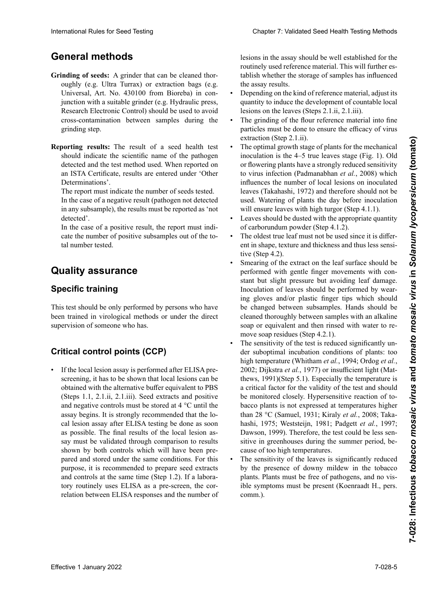# **General methods**

- Grinding of seeds: A grinder that can be cleaned thoroughly (e.g. Ultra Turrax) or extraction bags (e.g. Universal, Art. No. 430100 from Bioreba) in con-<br>iunction with a suitable grinder (e.g. Hydraulic press. junction with a suitable grinder (e.g. Hydraulic press, Research Electronic Control) should be used to avoid  $\frac{1}{2}$  cross-contamination between samples during the grinding step.  $\mathcal{C}$  enjugar las plantas con agua del grifo, un os minutos minutos minutos minutos minutos minutos minutos minutos minutos minutos minutos minutos minutos minutos minutos minutos minutos minutos minutos minutos minuto  $\frac{1}{2}$ .3 Abspulent mit Leitungswasser einige Mi-Research Electronic Control) should be used to avoid<br>cross-contamination between samples during the<br>prinding step. cross-contamination between samples during the
- Reporting results: The result of a seed health test **Subation der Pressures.** The result of a seed health test should indicate the scientific name of the pathogen detected and the test method used. When reported on execute and the test method asea. When reported on 6. Evaluación de las plantas 6. Untersuchung der Pflanzen Determinations'. an ISTA Certificate, results are entered under 'Other<br>Determinations'

The report must indicate the number of seeds tested. ne le la seu est marcade une number of secas desida.  $\overline{\text{m}}$  die case of a hegative result (pathogen not detected in any subsample), the results must be reported as 'not<br>detected'. r ne report must mureate the number of secus tested. In the case of a negative result (pathogen not detected detected'.

detected.<br>In the case of a positive result, the report must indital number tested. cate the number of positive subsamples out of the to-

#### **Molienda de las semillas:** Se debe usar un molinillo que **Quality assurance Quality assurance**

#### bolsas de extracción (ej. Universal, Art. N° 430100 de **Specific training** Le rapport doit indiquer le nombre de semences testées.

test should be only performed by persons who have This test should be only performed by persons who have<br>been trained in virological methods or under the direct supervision of someone who has.

## **Critical control points (CCP) Assurance qualité**

• If the local lesion assay is performed after ELISA prescreening, it has to be shown that local lesions can be obtained with the alternative buffer equivalent to PBS (Steps 1.1, 2.1.ii, 2.1.iii). Seed extracts and positive and negative controls must be stored at  $4^{\circ}$ C until the assay begins. It is strongly recommended that the local lesion assay after ELISA testing be done as soon Im Falle many multi-many continuous of the local lesion as-<br>as possible. The final results of the local lesion asas possible. The final results of the focal results say must be validated through comparison to results pared and stored under the same condi-<br> **Auracco** it is recommended to **proper** and controls at the same time (Step 1.2). If a labora-<br>the same time ELISA at the same time the same relation between ELISA responses and the number of shown by both controls which will have been prepurpose, it is recommended to prepare seed extracts<br>and controls at the same time (Stan 1.2). If a labore tory routinely uses ELISA as a pre-screen, the cor-<br>tory routinely uses ELISA as a pre-screen, the corsilowit by both controls which will have been prepared and stored under the same conditions. For this blancations Rate for Seed Festive 2000 Chapter 7. Velocal Seed Festive Postin Festival Second International Rate Control in the second international Chapter 1. Control in the second international Chapter 1. The control in

lesions in the assay should be well established for the tablish whether the storage of samples has influenced<br>the assay results. the assay results. lesions in the assay should be well established for the routinely used reference material. This will further es-

- Depending on the kind of reference material, adjust its quantity to induce the development of countable local<br>lesions on the leaves (Stens 2.1.ii, 2.1.iii). lesions on the leaves (Steps  $2.1$ .ii,  $2.1$ .iii). quantity to induce the development of countable local<br>lesions on the leaves (Steps 2.1.ii, 2.1.iii).<br>The grinding of the flour reference material into fine<br>particles must be done to ensure the efficacy of virus
- particles must be done to ensure the efficacy of virus nes locales tan propies du test.<br>extraction (Step 2.1.ii). • The grinding of the flour reference material into fine
- $\overrightarrow{a}$  and  $\overrightarrow{a}$  arough stage of plants for the mechanical inoculation is the 4–5 true leaves stage (Fig. 1). Old or flowering plants have a strongly reduced sensitivity<br>to virus infection (Bedmanshlan, et al., 2008) which to virus infection (Padmanabhan *et al.*, 2008) which<br>influences the number of local legions on incoulated influences the number of local lesions on inoculated minendes inclusions of rocal resions on modulated leaves (Takahashi, 1972) and therefore should not be  $\frac{1}{N}$  mismo  $\frac{1}{N}$  mismo tiempo (Paso 1.2).  $rac{u}{u}$  watching of plants the day before inoculation will chould leave with high turgor (Step  $4.1.1$ ). extraction (Step 2.1.ii).<br>The optimal growth stage of plants for the mechanical<br>inoculation is the 4.5 true leaves stage (Eig. 1). Old  $z = \frac{1}{N}$ . We have  $\frac{1}{N}$  and therefore should not be useu, watering of plants the day before modulation • The optimal growth stage of plants for the mechanical  $\frac{1}{2}$  traction du  $\frac{1}{2}$ . used. Watering of plants the day before inoculation will ensure leaves with high turgor (Step 4.1.1).
- While the reaves with high turgor (step 4.1.1).<br>Leaves should be dusted with the appropriate quantity Leaves should be dusted with the appropriate quantity<br>of carborundum powder (Step 4.1.2).
- or caroorunaum powder (step  $4.1.2$ ).<br>• The oldest true leaf must not be used since it is different in shape, texture and thickness and thus less sensitive (Step 4.2). tive (Step 4.2).
- Smearing of the extract on the leaf surface should be performed with gentle finger movements with constant but slight pressure but avoiding leaf damage. Inoculation of leaves should be performed by wearing gloves and/or plastic finger tips which should be changed between subsamples. Hands should be cleaned thoroughly between samples with an alkaline soap or equivalent and then rinsed with water to remove soap residues (Step 4.2.1). be changed between subsamples. Hands should be cleaned thoroughly between samples with an alkaline soap or equivalent and then rinsed with water to re-
- The sensitivity of the test is reduced significantly under suboptimal incubation conditions of plants: too<br>high temperature (Whitham et al., 1994; Ordog et al., high temperature (Whitham *et al.*, 1994; Ordog *et al.*, 2002; Dijkstra et al., 1977) or insufficient light (Matthews, 1991)(Step 5.1). Especially the temperature is thews,  $1991$ )(Step 5.1). Especially the temperature is<br>a critical factor for the validity of the test and should a critical factor for the validity of the test and should be monitored closely. Hypersensitive reaction of tobacco plants is not expressed at temperatures higher than 28 °C (Samuel, 1931; Kiraly *et al.*, 2008; Taka-<br>hashi 1975; Weststein, 1981; Padgett *et al.*, 1997; hashi, 1975; Weststeijn, 1981; Padgett et al., 1997; Dawson, 1999). Therefore, the test could be less sen-<br>citize in groombouses during the summer ported be put est court of the contract of the contract of the summer period, be-<br>sitive in greenhouses during the summer period, bestate in greenhouses daring the sammer period, be<br>cause of too high temperatures.
- vause of too night temperatures.  $d = \frac{d}{d}$  considering of the leaves is significantly reduced by the presence of downy mildew in the tobacco<br>by the presence of downy mildew in the tobacco plants. Plants must be free of pathogens, and no vis-<br> $\ddot{B}$ ible symptoms must be present (Koenraadt H., pers.  $\text{comm.}$ ). • The sensitivity of the leaves is significantly reduced<br>by the presence of downy mildew in the tobacco  $\text{comm.}$ ). teil. 1981 ; Padagett i Padagett i Padagett i Padagett i Padagett et al., 1997 ; Dawsdon, 1999). Par conséquent<br>1997 : Padagett et al., 1997 ; Padagett i Padagett et al., 1997 ; Padagett et al., 1998 ; Padagett et al., 199 comm.).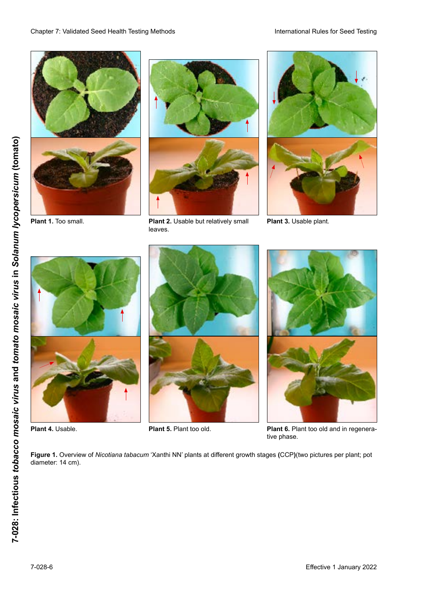



**Plant 1.** Too small. **Example 2.** Usable but relatively small leaves.



**Plant 3.** Usable plant.







**Plant 4.** Usable. **A comparent property of Plant 5.** Plant too old. **Plant 6.** Plant too old and in regenerative phase.

**Figure 1.** Overview of *Nicotiana tabacum* 'Xanthi NN' plants at different growth stages (CCP)(two pictures per plant; pot diameter: 14 cm).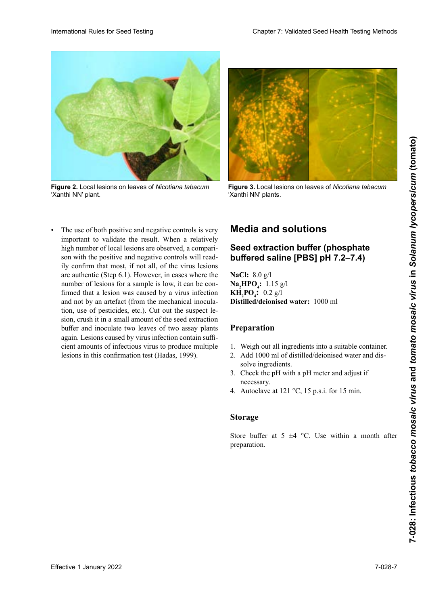

**Figure 2.** Local lesions on leaves of *Nicotiana tabacum Nicotiana tabacum* 'Xanthi NN'. 'Xanthi NN' Pflanzen. plant. **Figura 3.** Lesiones locales en hojas de plantas de **Abb. 3.** Lokalläsionen auf Blättern von *Nicotiana tabacum tabacum* 'Xanthi NN'.**Figure**  Lésions locales sur feuilles de plantes *Nicotiana* Local lesions on leaves of *Nicotiana tabacum*



*Nicotiana tabacum* 'Xanthi NN'. 'Xanthi NN' Pflanzen. *tabacum* 'Xanthi NN' plants.

The use of both positive and negative controls is very important to validate the result. When a relatively high number of local lesions are observed, a comparison with the positive and negative controls will read-<br>ilv confirm that most, if not all, of the virus lesions ily confirm that most, if not all, of the virus lesions are authentic (Step 6.1). However, in cases where the number of lesions for a sample is low, it can be confirmed that a lesion was caused by a virus infection and not by an artefact (from the mechanical inoculation, use of pesticides, etc.). Cut out the suspect le-<br>sion crush it in a small amount of the seed extraction sion, crush it in a small amount of the seed extraction buffer and inoculate two leaves of two assay plants rature and de confirmer the confirmer confirmer de confirmer de confirmer de confirmer de confirmer de confirmer de confirmer de confirmer de confirmer de confirmer de confirmer de confirmer de confirmer de confirmer de co cient amounts of infectious virus to produce multiple<br>lesions in this confirmation test (Hadas, 1999). de table table de table de patógenos de produce manipre y no deben presentar síntomas visibles (Koenraadt H., firmed that a lesion was caused by a virus infection<br>and not by an artefact (from the mechanical inocula-<br>tion, use of pesticides, etc.). Cut out the suspect letrette unterte von Mehrtau and Mehrtau and Mehrtau deutlich verriegten verriegten verriegten verriegten verriegt. Die der aufgeben zu der die eine verriegten verriegten verriegten verriegten. Die der aufgeben zu der die ei lesions in this confirmation test (Hadas, 1999). • The use of both positive and negative controls is very important to validate the result. When a relatively high number of local lesions are observed, a comparison with the positive and negative controls will readare authentic (Step 6.1). However, in cases where the<br>number of lesions for a sample is low, it can be con-<br>firmed that a lesion was caused by a virus infection<br>and not by an artefact (from the mechanical inocula-Material Devel of See Technique Counter and the control of the state of the state of the state of the state of the state of the state of the state of the state of the state of the state of the state of the state of the st number of lesions for a sample is low, it can be conand not by an artefact (from the mechanical inocula-

#### **Media and solutions Medien und Lösungen Milieux et solutions Media and solutions**

## **Buffer de extracción de semillas gepufferte Salzlösung [PBS] pH 7.2–7.4) Tampon d'extraction de semences Seed extraction buffer (phosphate buffered saline [PBS] pH 7.2–7.4)**

**fosfato [PBS] pH 7,2–7,4)**  $N$ **a**<sub>2</sub> $H$ **PO**<sub>4</sub>**:** 1.15 g/l **KH<sub>2</sub>PO<sub>4</sub>:** 0.2 g/l **Distilled/deionised water:** 1000 ml **NaCl:** 8.0 g/l **NaCl:** 8.0 g/l

#### **Preparación Préparation Preparation** 1. Einwiegen aller Komponenten in ein geeignetes

- 1. Weigh out all ingredients into a suitable container.
- 1. Pesar todo un regionemo mo a sanadre contamer.  $2.$  Agua 1000 ml of distilada defonsed water and dis- $\frac{1}{2}$   $\frac{1}{4}$   $\frac{1}{4}$   $\frac{1}{4}$  $2. A$  J  $1000$  ml of  $4$ istilliertem and the  $\frac{1}{2}$ zielt zu werden Wasser und der mischen waren and ens solve ingledien.<br>Cl = 1 d = TT 1. Peser tous les ingrédients du contracte containées 2. Add 1000 ml of distilled/deionised water and dissolve ingrédients. solve ingredients.
- $3.$  Verica and pH with a pH meter and adjust  $\pi$ necess  $3.$  Check the pH-with a pH-meter and adjust  $\overline{\text{H}}$  $\frac{1}{4}$   $\frac{1}{21}$   $\frac{121}{6}$   $\frac{2}{3}$   $\frac{15}{15}$   $\frac{1}{6}$   $\frac{15}{15}$ 3. Check the pH with a pH meter and adjust if necessary.
- 4. Autoclave at  $121$  °C, 15 p.s.f. for 15 min. 4. Autoclave at 121 °C, 15 p.s.i. for 15 min.

#### **Storage Lagerung Storage**

Store buffer at  $5 \pm 4$  °C. Use within a month after preparation. Store buffer at 5  $\pm$ 4 °C. Use within a month after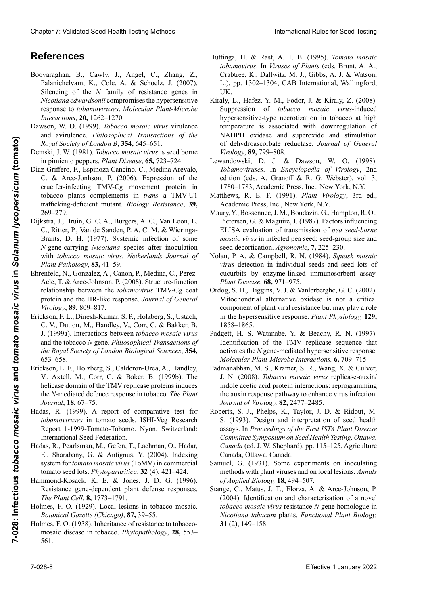## ${\sf References}$

- Boovaraghan, B., Cawly, J., Angel, C., Zhang, Z., Palanichelvam, K., Cole, A. & Schoelz, J. (2007). Silencing of the *N* family of resistance genes in *Nicotiana edwardsonii* compromises the hypersensitive response to *tobamoviruses*. *Molecular Plant-Microbe Interactions*, **20,** 1262–1270.
- Dawson, W. O. (1999). *Tobacco mosaic virus* virulence and avirulence. *Philosophical Transactions of the Royal Society of London B*, **354,** 645–651.
- Demski, J. W. (1981). *Tobacco mosaic virus* is seed borne in pimiento peppers. *Plant Disease*, **65,** 723–724.
- Diaz-Griffero, F., Espinoza Cancino, C., Medina Arevalo, C. & Arce-Jonhson, P. (2006). Expression of the crucifer-infecting TMV-Cg movement protein in tobacco plants complements in *trans* a TMV-U1 trafficking-deficient mutant. *Biology Resistance*, **39,**  269–279.
- Dijkstra, J., Bruin, G. C. A., Burgers, A. C., Van Loon, L. C., Ritter, P., Van de Sanden, P. A. C. M. & Wieringa-Brants, D. H. (1977). Systemic infection of some *N*-gene-carrying *Nicotiana* species after inoculation with *tobacco mosaic virus*. *Netherlands Journal of Plant Pathology*, **83,** 41–59. *Interactions, 20, 1262–1270.*<br> *Newrom, W. O. (1999). Tobacco mosaic virus virule*<br>
and avirulence. *Philosophical Transactions of*<br> *Royal Society of London B*, **354**, 645–651.<br>
mski, J. W. (1981). *Tobacco mosaic virus*
- Ehrenfeld, N., Gonzalez, A., Canon, P., Medina, C., Perez-Acle, T. & Arce-Johnson, P. (2008). Structure-function relationship between the *tobamovirus* TMV-Cg coat protein and the HR-like response. *Journal of General Virology*, **89,** 809–817. *Virology,* **89,** 809–817.
- Erickson, F. L., Dinesh-Kumar, S. P., Holzberg, S., Ustach, C. V., Dutton, M., Handley, V., Corr, C. & Bakker, B. J. (1999a). Interactions between *tobacco mosaic virus virus*  and the tobacco *N* gene. *Philosophical Transactions of the Royal Society of London Biological Sciences*, **354,**  653–658. Effective 1 January 2022 **and 2022 in**   $\frac{d}{dx}$  **b**  $\frac{d}{dx}$  **b**  $\frac{d}{dx}$  **b**  $\frac{d}{dx}$  **b**  $\frac{d}{dx}$  **b**  $\frac{d}{dx}$  **c**  $\frac{d}{dx}$  **b**  $\frac{d}{dx}$  **b**  $\frac{d}{dx}$  **c**  $\frac{d}{dx}$  **b**  $\frac{d}{dx}$  **c**  $\frac{d}{dx}$  **c**  $\frac{d}{dx}$ 
	- Erickson, L. F., Holzberg, S., Calderon-Urea, A., Handley, V., Axtell, M., Corr, C. & Baker, B. (1999b). The helicase domain of the TMV replicase proteins induces the *N*-mediated defence response in tobacco. *The Plant Journal*, **18,** 67–75. *the Royal Society of London Biological Sciences,*<br>653–658.<br>
	ckson, L. F., Holzberg, S., Calderon-Urea, A., Hanv, X., Axtell, M., Corr, C. & Baker, B. (1999b).<br>
	helicase domain of the TMV replicase proteins ind<br>
	the *N*-me
	- Hadas, R. (1999). A report of comparative test for *tobamoviruses* in tomato seeds. ISHI-Veg Research Report 1-1999-Tomato-Tobamo. Nyon, Switzerland: International Seed Federation.
	- Hadas, R., Pearlsman, M., Gefen, T., Lachman, O., Hadar, E., Sharabany, G. & Antignus, Y. (2004). Indexing system for *tomato mosaic virus* (ToMV) in commercial tomato seed lots. *Phytoparasitica*, **32** (4), 421–424.
	- Hammond-Kosack, K. E. & Jones, J. D. G. (1996). Resistance gene-dependent plant defense responses. *The Plant Cell*, **8,** 1773–1791.
	- Holmes, F. O. (1929). Local lesions in tobacco mosaic. *Botanical Gazette (Chicago)*, **87,** 39–55.
	- Holmes, F. O. (1938). Inheritance of resistance to tobaccomosaic disease in tobacco. *Phytopathology*, **28,** 553– 561.
- Huttinga, H. & Rast, A. T. B. (1995). *Tomato mosaic tobamovirus*. In *Viruses of Plants* (eds. Brunt, A. A., Crabtree, K., Dallwitz, M. J., Gibbs, A. J. & Watson, L.), pp. 1302–1304, CAB International, Wallingford, UK.
- Kiraly, L., Hafez, Y. M., Fodor, J. & Kiraly, Z. (2008). Suppression of *tobacco mosaic virus*-induced hypersensitive-type necrotization in tobacco at high temperature is associated with downregulation of NADPH oxidase and superoxide and stimulation of dehydroascorbate reductase. *Journal of General Virology*, **89,** 799–808. Guarter 7. Validierte Escalis Territo Neumannia (Europa III. A. B. Carl T. H. B. Carl T. H. G. Carl T. H. G. Carl T. H. G. Carl T. H. G. Carl T. H. G. Carl T. H. G. Carl T. H. G. Carl T. H. G. Carl T. H. G. Carl T. H. G. Cheap 7 Valdard See Irelaid and their pairs and the third in the state of the basis of the state of the state of the state of the state of the state of the state of the state of the state of the state of the state of the Chapters. Seed Health Testing Methods 1997–1998. **Phytopathology, Phytopathology, Phytopathology, Phytopathology, Phytopathology, Phytopathology, Phytopathology, Phytopathology, Phytopathology,** *Virology* 
	- Lewandowski, D. J. & Dawson, W. O. (1998). *Tobamoviruses*. In *Encyclopedia of Virology*, 2nd edition (eds. A. Granoff & R. G. Webster), vol. 3, 1780–1783, Academic Press, Inc., New York, N.Y.
	- Matthews, R. E. F. (1991). *Plant Virology*, 3rd ed., Academic Press, Inc., New York, N.Y.
	- Maury, Y., Bossennec, J. M., Boudazin, G., Hampton, R. O., Pietersen, G. & Maguire, J. (1987). Factors influencing ELISA evaluation of transmission of *pea seed-borne mosaic virus* in infected pea seed: seed-group size and seed decortication. *Agronomie*, **7,** 225–230.
	- Nolan, P. A. & Campbell, R. N. (1984). *Squash mosaic virus* detection in individual seeds and seed lots of cucurbits by enzyme-linked immunosorbent assay. *Plant Disease*, **68,** 971–975.
	- Ordog, S. H., Higgins, V. J. & Vanlerberghe, G. C. (2002). Mitochondrial alternative oxidase is not a critical component of plant viral resistance but may play a role in the hypersensitive response. *Plant Physiology*, 129, 1858–1865.
	- Padgett, H. S. Watanabe, Y. & Beachy, R. N. (1997). Identification of the TMV replicase sequence that activates the *N* gene-mediated hypersensitive response. *Molecular Plant-Microbe Interactions,* **6,** 709–715. the *Interactions*,
	- Padmanabhan, M. S., Kramer, S. R., Wang, X. & Culver, J. N. (2008). *Tobacco mosaic virus* replicase-auxin/ indole acetic acid protein interactions: reprogramming the auxin response pathway to enhance virus infection. *Journal of Virology,* **82,** 2477–2485. *Virology*, **82,** 2477–2485.
	- Roberts, S. J., Phelps, K., Taylor, J. D. & Ridout, M. S. (1993). Design and interpretation of seed health assays. In *Proceedings of the First ISTA Plant Disease Committee Symposium on Seed Health Testing, Ottawa, Canada* (ed. J. W. Shephard), pp. 115–125, Agriculture Canada, Ottawa, Canada.
	- Samuel, G. (1931). Some experiments on inoculating methods with plant viruses and on local lesions. *Annals of Applied Biology,* **18,** 494–507. *Biology*, **18,** 494–507.
	- Stange, C., Matus, J. T., Elorza, A. & Arce-Johnson, P. (2004). Identification and characterisation of a novel *tobacco mosaic virus* resistance *N* gene homologue in *Nicotiana tabacum* plants. *Functional Plant Biology,* plants. *Plant Biology*, **31** (2), 149–158.